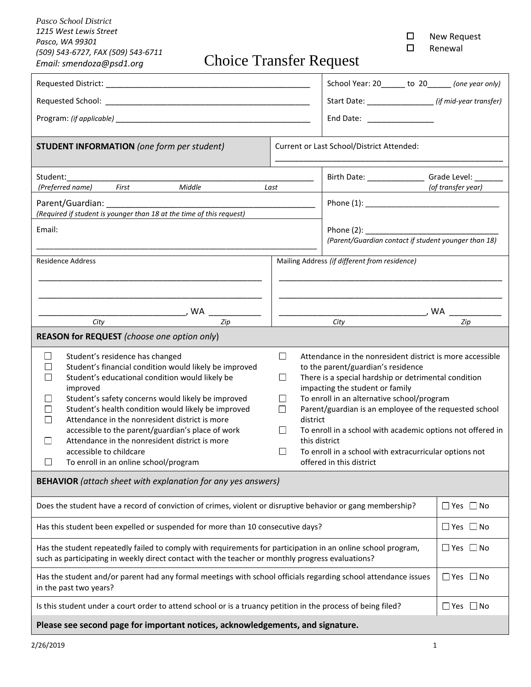*Pasco School District 1215 West Lewis Street Pasco, WA 99301 (509) 543-6727, FAX (509) 543-6711* 

 New Request Renewal

*Email: smendoza@psd1.org* Choice Transfer Request

|                                                                                                                                                                                                                                                                                                                                                                                                                                                                                                                                             | School Year: 20______ to 20_____ (one year only)                                                                                                                                                                                                                                                                                                                                                                                                                                                                                                                       |                      |  |
|---------------------------------------------------------------------------------------------------------------------------------------------------------------------------------------------------------------------------------------------------------------------------------------------------------------------------------------------------------------------------------------------------------------------------------------------------------------------------------------------------------------------------------------------|------------------------------------------------------------------------------------------------------------------------------------------------------------------------------------------------------------------------------------------------------------------------------------------------------------------------------------------------------------------------------------------------------------------------------------------------------------------------------------------------------------------------------------------------------------------------|----------------------|--|
| Requested School: _                                                                                                                                                                                                                                                                                                                                                                                                                                                                                                                         | Start Date: ___________________ (if mid-year transfer)                                                                                                                                                                                                                                                                                                                                                                                                                                                                                                                 |                      |  |
|                                                                                                                                                                                                                                                                                                                                                                                                                                                                                                                                             | End Date: New York Products and Date:                                                                                                                                                                                                                                                                                                                                                                                                                                                                                                                                  |                      |  |
| <b>STUDENT INFORMATION</b> (one form per student)                                                                                                                                                                                                                                                                                                                                                                                                                                                                                           | Current or Last School/District Attended:                                                                                                                                                                                                                                                                                                                                                                                                                                                                                                                              |                      |  |
| Student:<br>Birth Date: ______________                                                                                                                                                                                                                                                                                                                                                                                                                                                                                                      |                                                                                                                                                                                                                                                                                                                                                                                                                                                                                                                                                                        | Grade Level:         |  |
| Middle<br>(Preferred name) First                                                                                                                                                                                                                                                                                                                                                                                                                                                                                                            | Last                                                                                                                                                                                                                                                                                                                                                                                                                                                                                                                                                                   | (of transfer year)   |  |
|                                                                                                                                                                                                                                                                                                                                                                                                                                                                                                                                             |                                                                                                                                                                                                                                                                                                                                                                                                                                                                                                                                                                        |                      |  |
| (Required if student is younger than 18 at the time of this request)                                                                                                                                                                                                                                                                                                                                                                                                                                                                        |                                                                                                                                                                                                                                                                                                                                                                                                                                                                                                                                                                        |                      |  |
| Email:<br>Phone $(2)$ :<br>(Parent/Guardian contact if student younger than 18)                                                                                                                                                                                                                                                                                                                                                                                                                                                             |                                                                                                                                                                                                                                                                                                                                                                                                                                                                                                                                                                        |                      |  |
|                                                                                                                                                                                                                                                                                                                                                                                                                                                                                                                                             |                                                                                                                                                                                                                                                                                                                                                                                                                                                                                                                                                                        |                      |  |
| <b>Residence Address</b>                                                                                                                                                                                                                                                                                                                                                                                                                                                                                                                    | Mailing Address (if different from residence)                                                                                                                                                                                                                                                                                                                                                                                                                                                                                                                          |                      |  |
|                                                                                                                                                                                                                                                                                                                                                                                                                                                                                                                                             |                                                                                                                                                                                                                                                                                                                                                                                                                                                                                                                                                                        |                      |  |
|                                                                                                                                                                                                                                                                                                                                                                                                                                                                                                                                             |                                                                                                                                                                                                                                                                                                                                                                                                                                                                                                                                                                        |                      |  |
| , WA                                                                                                                                                                                                                                                                                                                                                                                                                                                                                                                                        |                                                                                                                                                                                                                                                                                                                                                                                                                                                                                                                                                                        | , WA                 |  |
| City<br>Zip<br>Zip<br>City                                                                                                                                                                                                                                                                                                                                                                                                                                                                                                                  |                                                                                                                                                                                                                                                                                                                                                                                                                                                                                                                                                                        |                      |  |
| REASON for REQUEST (choose one option only)                                                                                                                                                                                                                                                                                                                                                                                                                                                                                                 |                                                                                                                                                                                                                                                                                                                                                                                                                                                                                                                                                                        |                      |  |
| Student's residence has changed<br>$\vert \ \ \vert$<br>Student's financial condition would likely be improved<br>Student's educational condition would likely be<br>improved<br>Student's safety concerns would likely be improved<br>Student's health condition would likely be improved<br>Attendance in the nonresident district is more<br>accessible to the parent/guardian's place of work<br>Attendance in the nonresident district is more<br>$\Box$<br>accessible to childcare<br>To enroll in an online school/program<br>$\Box$ | $\Box$<br>Attendance in the nonresident district is more accessible<br>to the parent/guardian's residence<br>$\Box$<br>There is a special hardship or detrimental condition<br>impacting the student or family<br>To enroll in an alternative school/program<br>$\perp$<br>Parent/guardian is an employee of the requested school<br>$\Box$<br>district<br>To enroll in a school with academic options not offered in<br>$\vert \ \ \vert$<br>this district<br>To enroll in a school with extracurricular options not<br>$\vert \ \ \vert$<br>offered in this district |                      |  |
|                                                                                                                                                                                                                                                                                                                                                                                                                                                                                                                                             |                                                                                                                                                                                                                                                                                                                                                                                                                                                                                                                                                                        |                      |  |
| <b>BEHAVIOR</b> (attach sheet with explanation for any yes answers)                                                                                                                                                                                                                                                                                                                                                                                                                                                                         |                                                                                                                                                                                                                                                                                                                                                                                                                                                                                                                                                                        |                      |  |
| Does the student have a record of conviction of crimes, violent or disruptive behavior or gang membership?                                                                                                                                                                                                                                                                                                                                                                                                                                  |                                                                                                                                                                                                                                                                                                                                                                                                                                                                                                                                                                        | $\Box$ Yes $\Box$ No |  |
| Has this student been expelled or suspended for more than 10 consecutive days?                                                                                                                                                                                                                                                                                                                                                                                                                                                              | $\Box$ Yes $\Box$ No                                                                                                                                                                                                                                                                                                                                                                                                                                                                                                                                                   |                      |  |
| Has the student repeatedly failed to comply with requirements for participation in an online school program,<br>such as participating in weekly direct contact with the teacher or monthly progress evaluations?                                                                                                                                                                                                                                                                                                                            | $\Box$ Yes $\Box$ No                                                                                                                                                                                                                                                                                                                                                                                                                                                                                                                                                   |                      |  |
| Has the student and/or parent had any formal meetings with school officials regarding school attendance issues<br>in the past two years?                                                                                                                                                                                                                                                                                                                                                                                                    |                                                                                                                                                                                                                                                                                                                                                                                                                                                                                                                                                                        |                      |  |
| Is this student under a court order to attend school or is a truancy petition in the process of being filed?<br>$\Box$ Yes $\Box$ No                                                                                                                                                                                                                                                                                                                                                                                                        |                                                                                                                                                                                                                                                                                                                                                                                                                                                                                                                                                                        |                      |  |
| Please see second page for important notices, acknowledgements, and signature.                                                                                                                                                                                                                                                                                                                                                                                                                                                              |                                                                                                                                                                                                                                                                                                                                                                                                                                                                                                                                                                        |                      |  |